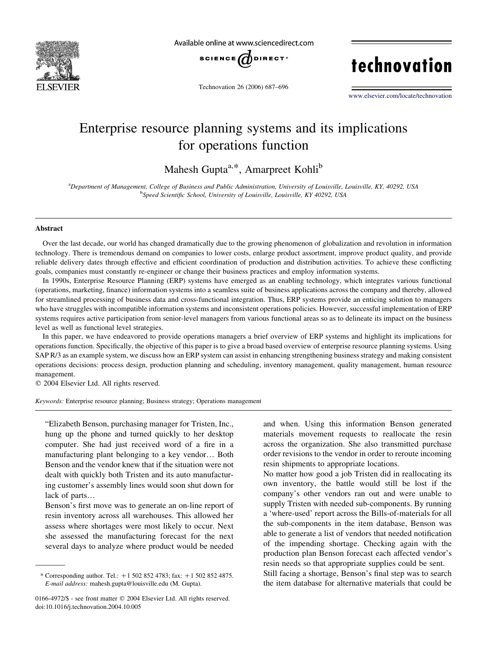

Available online at www.sciencedirect.com



Technovation 26 (2006) 687–696

technovation

[www.elsevier.com/locate/technovation](http://www.elsevier.com/locate/technovation)

## Enterprise resource planning systems and its implications for operations function

Mahesh Gupta<sup>a,\*</sup>, Amarpreet Kohli<sup>b</sup>

a Department of Management, College of Business and Public Administration, University of Louisville, Louisville, KY, 40292, USA <sup>b</sup>Speed Scientific School, University of Louisville, Louisville, KY 40292, USA

### Abstract

Over the last decade, our world has changed dramatically due to the growing phenomenon of globalization and revolution in information technology. There is tremendous demand on companies to lower costs, enlarge product assortment, improve product quality, and provide reliable delivery dates through effective and efficient coordination of production and distribution activities. To achieve these conflicting goals, companies must constantly re-engineer or change their business practices and employ information systems.

In 1990s, Enterprise Resource Planning (ERP) systems have emerged as an enabling technology, which integrates various functional (operations, marketing, finance) information systems into a seamless suite of business applications across the company and thereby, allowed for streamlined processing of business data and cross-functional integration. Thus, ERP systems provide an enticing solution to managers who have struggles with incompatible information systems and inconsistent operations policies. However, successful implementation of ERP systems requires active participation from senior-level managers from various functional areas so as to delineate its impact on the business level as well as functional level strategies.

In this paper, we have endeavored to provide operations managers a brief overview of ERP systems and highlight its implications for operations function. Specifically, the objective of this paper is to give a broad based overview of enterprise resource planning systems. Using SAP R/3 as an example system, we discuss how an ERP system can assist in enhancing strengthening business strategy and making consistent operations decisions: process design, production planning and scheduling, inventory management, quality management, human resource management.

 $© 2004 Elsevier Ltd. All rights reserved.$ 

Keywords: Enterprise resource planning; Business strategy; Operations management

"Elizabeth Benson, purchasing manager for Tristen, Inc., hung up the phone and turned quickly to her desktop computer. She had just received word of a fire in a manufacturing plant belonging to a key vendor... Both Benson and the vendor knew that if the situation were not dealt with quickly both Tristen and its auto manufacturing customer's assembly lines would soon shut down for lack of parts...

Benson's first move was to generate an on-line report of resin inventory across all warehouses. This allowed her assess where shortages were most likely to occur. Next she assessed the manufacturing forecast for the next several days to analyze where product would be needed

and when. Using this information Benson generated materials movement requests to reallocate the resin across the organization. She also transmitted purchase order revisions to the vendor in order to reroute incoming resin shipments to appropriate locations.

No matter how good a job Tristen did in reallocating its own inventory, the battle would still be lost if the company's other vendors ran out and were unable to supply Tristen with needed sub-components. By running a 'where-used' report across the Bills-of-materials for all the sub-components in the item database, Benson was able to generate a list of vendors that needed notification of the impending shortage. Checking again with the production plan Benson forecast each affected vendor's resin needs so that appropriate supplies could be sent. Still facing a shortage, Benson's final step was to search

the item database for alternative materials that could be

<sup>\*</sup> Corresponding author. Tel.:  $+15028524783$ ; fax:  $+15028524875$ . E-mail address: mahesh.gupta@louisville.edu (M. Gupta).

<sup>0166-4972/\$ -</sup> see front matter © 2004 Elsevier Ltd. All rights reserved. doi:10.1016/j.technovation.2004.10.005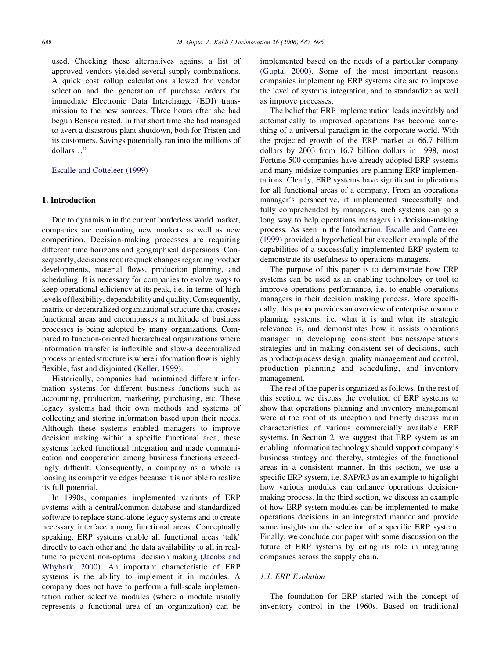used. Checking these alternatives against a list of approved vendors yielded several supply combinations. A quick cost rollup calculations allowed for vendor selection and the generation of purchase orders for immediate Electronic Data Interchange (EDI) transmission to the new sources. Three hours after she had begun Benson rested. In that short time she had managed to avert a disastrous plant shutdown, both for Tristen and its customers. Savings potentially ran into the millions of dollars..."

[Escalle and Cotteleer \(1999\)](#page--1-0)

## 1. Introduction

Due to dynamism in the current borderless world market, companies are confronting new markets as well as new competition. Decision-making processes are requiring different time horizons and geographical dispersions. Consequently, decisions require quick changes regarding product developments, material flows, production planning, and scheduling. It is necessary for companies to evolve ways to keep operational efficiency at its peak, i.e. in terms of high levels offlexibility, dependability and quality. Consequently, matrix or decentralized organizational structure that crosses functional areas and encompasses a multitude of business processes is being adopted by many organizations. Compared to function-oriented hierarchical organizations where information transfer is inflexible and slow-a decentralized process oriented structure is where information flow is highly flexible, fast and disjointed ([Keller, 1999\)](#page--1-0).

Historically, companies had maintained different information systems for different business functions such as accounting, production, marketing, purchasing, etc. These legacy systems had their own methods and systems of collecting and storing information based upon their needs. Although these systems enabled managers to improve decision making within a specific functional area, these systems lacked functional integration and made communication and cooperation among business functions exceedingly difficult. Consequently, a company as a whole is loosing its competitive edges because it is not able to realize its full potential.

In 1990s, companies implemented variants of ERP systems with a central/common database and standardized software to replace stand-alone legacy systems and to create necessary interface among functional areas. Conceptually speaking, ERP systems enable all functional areas 'talk' directly to each other and the data availability to all in realtime to prevent non-optimal decision making ([Jacobs and](#page--1-0) [Whybark, 2000\)](#page--1-0). An important characteristic of ERP systems is the ability to implement it in modules. A company does not have to perform a full-scale implementation rather selective modules (where a module usually represents a functional area of an organization) can be implemented based on the needs of a particular company ([Gupta, 2000\)](#page--1-0). Some of the most important reasons companies implementing ERP systems cite are to improve the level of systems integration, and to standardize as well as improve processes.

The belief that ERP implementation leads inevitably and automatically to improved operations has become something of a universal paradigm in the corporate world. With the projected growth of the ERP market at 66.7 billion dollars by 2003 from 16.7 billion dollars in 1998, most Fortune 500 companies have already adopted ERP systems and many midsize companies are planning ERP implementations. Clearly, ERP systems have significant implications for all functional areas of a company. From an operations manager's perspective, if implemented successfully and fully comprehended by managers, such systems can go a long way to help operations managers in decision-making process. As seen in the Intoduction, [Escalle and Cotteleer](#page--1-0) [\(1999\)](#page--1-0) provided a hypothetical but excellent example of the capabilities of a successfully implemented ERP system to demonstrate its usefulness to operations managers.

The purpose of this paper is to demonstrate how ERP systems can be used as an enabling technology or tool to improve operations performance, i.e. to enable operations managers in their decision making process. More specifically, this paper provides an overview of enterprise resource planning systems, i.e. what it is and what its strategic relevance is, and demonstrates how it assists operations manager in developing consistent business/operations strategies and in making consistent set of decisions, such as product/process design, quality management and control, production planning and scheduling, and inventory management.

The rest of the paper is organized as follows. In the rest of this section, we discuss the evolution of ERP systems to show that operations planning and inventory management were at the root of its inception and briefly discuss main characteristics of various commercially available ERP systems. In Section 2, we suggest that ERP system as an enabling information technology should support company's business strategy and thereby, strategies of the functional areas in a consistent manner. In this section, we use a specific ERP system, i.e. SAP/R3 as an example to highlight how various modules can enhance operations decisionmaking process. In the third section, we discuss an example of how ERP system modules can be implemented to make operations decisions in an integrated manner and provide some insights on the selection of a specific ERP system. Finally, we conclude our paper with some discussion on the future of ERP systems by citing its role in integrating companies across the supply chain.

#### 1.1. ERP Evolution

The foundation for ERP started with the concept of inventory control in the 1960s. Based on traditional